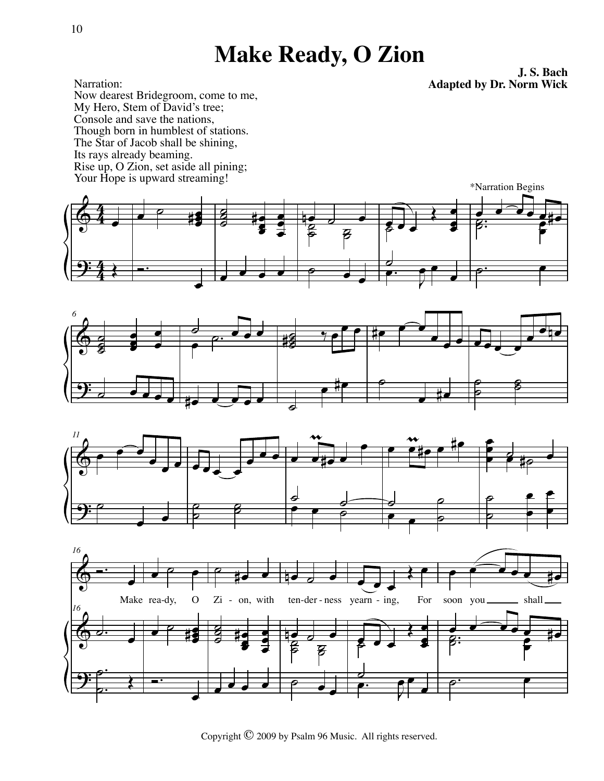## **Make Ready, O Zion**

**J. S. Bach Adapted by Dr. Norm Wick**

Narration: Now dearest Bridegroom, come to me, My Hero, Stem of David's tree; Console and save the nations, Though born in humblest of stations. The Star of Jacob shall be shining, Its rays already beaming. Rise up, O Zion, set aside all pining; Your Hope is upward streaming!









Copyright © 2009 by Psalm 96 Music. All rights reserved.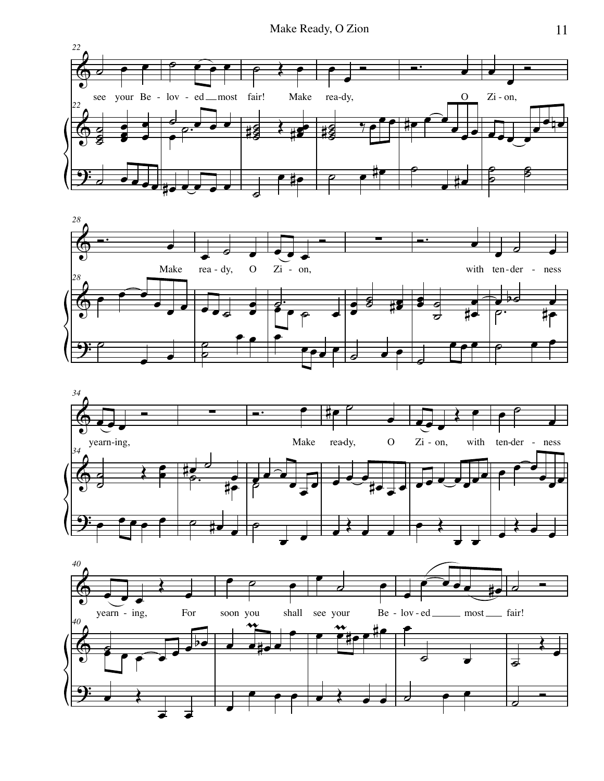





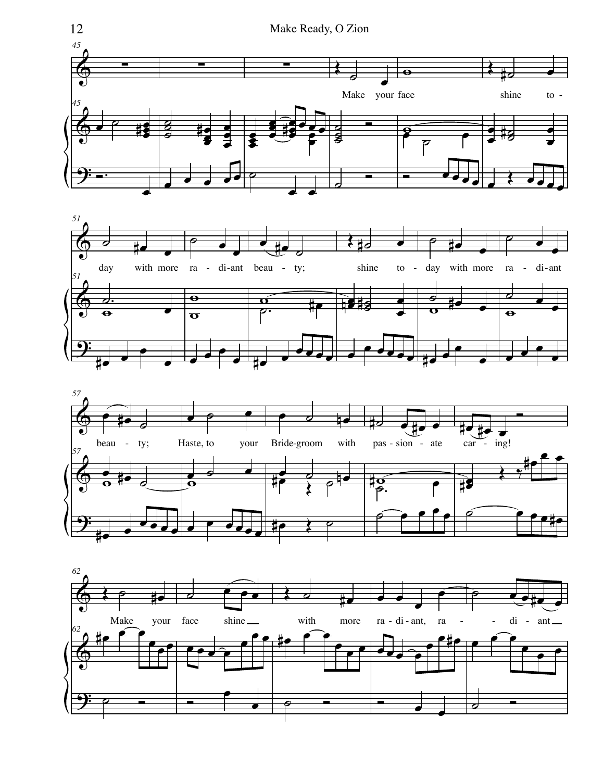





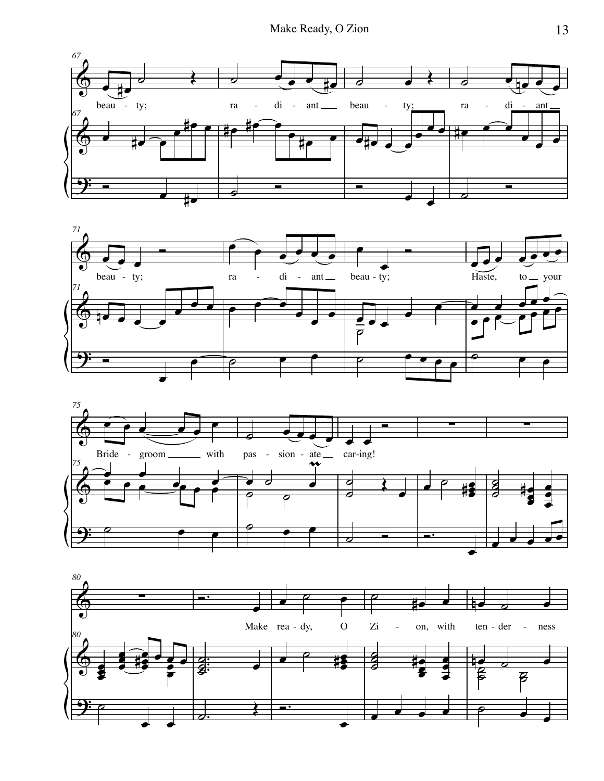